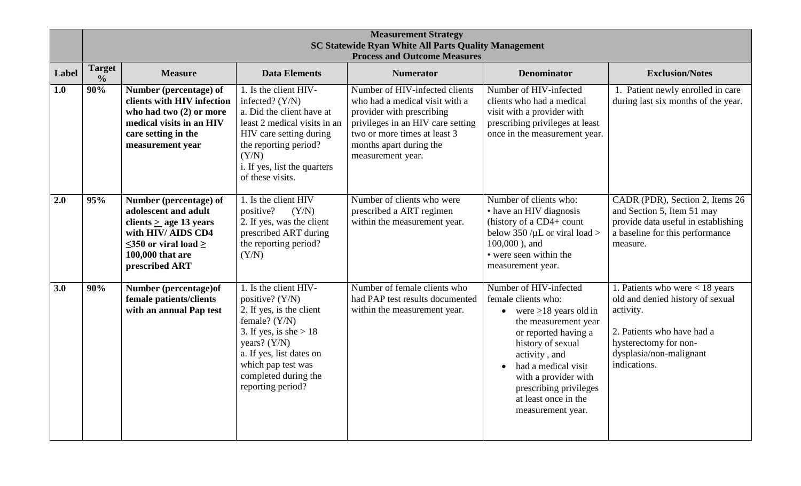|       |                                | <b>Measurement Strategy</b><br><b>SC Statewide Ryan White All Parts Quality Management</b><br><b>Process and Outcome Measures</b>                                         |                                                                                                                                                                                                                                      |                                                                                                                                                                                                                    |                                                                                                                                                                                                                                                                                                         |                                                                                                                                                                                      |
|-------|--------------------------------|---------------------------------------------------------------------------------------------------------------------------------------------------------------------------|--------------------------------------------------------------------------------------------------------------------------------------------------------------------------------------------------------------------------------------|--------------------------------------------------------------------------------------------------------------------------------------------------------------------------------------------------------------------|---------------------------------------------------------------------------------------------------------------------------------------------------------------------------------------------------------------------------------------------------------------------------------------------------------|--------------------------------------------------------------------------------------------------------------------------------------------------------------------------------------|
| Label | <b>Target</b><br>$\frac{0}{0}$ | <b>Measure</b>                                                                                                                                                            | <b>Data Elements</b>                                                                                                                                                                                                                 | <b>Numerator</b>                                                                                                                                                                                                   | <b>Denominator</b>                                                                                                                                                                                                                                                                                      | <b>Exclusion/Notes</b>                                                                                                                                                               |
| 1.0   | 90%                            | Number (percentage) of<br>clients with HIV infection<br>who had two (2) or more<br>medical visits in an HIV<br>care setting in the<br>measurement year                    | 1. Is the client HIV-<br>infected? $(Y/N)$<br>a. Did the client have at<br>least 2 medical visits in an<br>HIV care setting during<br>the reporting period?<br>(Y/N)<br>i. If yes, list the quarters<br>of these visits.             | Number of HIV-infected clients<br>who had a medical visit with a<br>provider with prescribing<br>privileges in an HIV care setting<br>two or more times at least 3<br>months apart during the<br>measurement year. | Number of HIV-infected<br>clients who had a medical<br>visit with a provider with<br>prescribing privileges at least<br>once in the measurement year.                                                                                                                                                   | 1. Patient newly enrolled in care<br>during last six months of the year.                                                                                                             |
| 2.0   | 95%                            | Number (percentage) of<br>adolescent and adult<br>clients $>$ age 13 years<br>with HIV/ AIDS CD4<br>$\leq$ 350 or viral load $\geq$<br>100,000 that are<br>prescribed ART | 1. Is the client HIV<br>positive?<br>(Y/N)<br>2. If yes, was the client<br>prescribed ART during<br>the reporting period?<br>(Y/N)                                                                                                   | Number of clients who were<br>prescribed a ART regimen<br>within the measurement year.                                                                                                                             | Number of clients who:<br>• have an HIV diagnosis<br>(history of a CD4+ count<br>below 350 / $\mu$ L or viral load ><br>$100,000$ ), and<br>• were seen within the<br>measurement year.                                                                                                                 | CADR (PDR), Section 2, Items 26<br>and Section 5, Item 51 may<br>provide data useful in establishing<br>a baseline for this performance<br>measure.                                  |
| 3.0   | 90%                            | Number (percentage) of<br>female patients/clients<br>with an annual Pap test                                                                                              | 1. Is the client HIV-<br>positive? (Y/N)<br>2. If yes, is the client<br>female? $(Y/N)$<br>3. If yes, is she $> 18$<br>years? $(Y/N)$<br>a. If yes, list dates on<br>which pap test was<br>completed during the<br>reporting period? | Number of female clients who<br>had PAP test results documented<br>within the measurement year.                                                                                                                    | Number of HIV-infected<br>female clients who:<br>• were $\geq$ 18 years old in<br>the measurement year<br>or reported having a<br>history of sexual<br>activity, and<br>had a medical visit<br>$\bullet$<br>with a provider with<br>prescribing privileges<br>at least once in the<br>measurement year. | 1. Patients who were $<$ 18 years<br>old and denied history of sexual<br>activity.<br>2. Patients who have had a<br>hysterectomy for non-<br>dysplasia/non-malignant<br>indications. |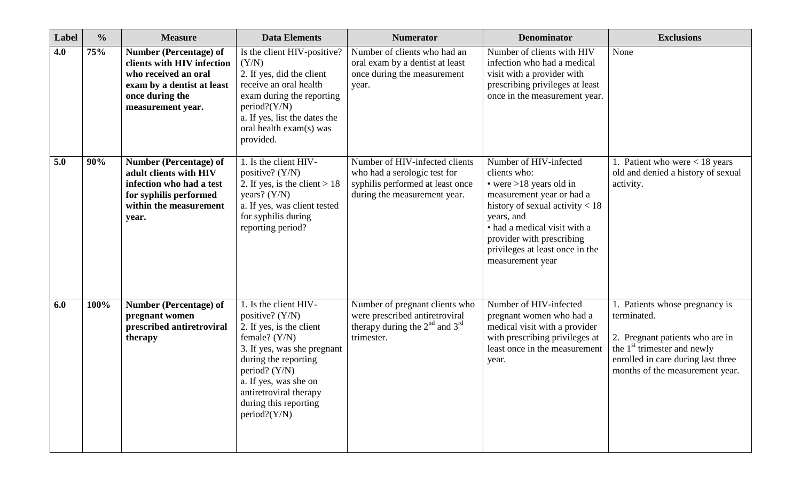| Label | $\frac{0}{0}$ | <b>Measure</b>                                                                                                                                            | <b>Data Elements</b>                                                                                                                                                                                                                                             | <b>Numerator</b>                                                                                                                   | <b>Denominator</b>                                                                                                                                                                                                                                                      | <b>Exclusions</b>                                                                                                                                                                       |
|-------|---------------|-----------------------------------------------------------------------------------------------------------------------------------------------------------|------------------------------------------------------------------------------------------------------------------------------------------------------------------------------------------------------------------------------------------------------------------|------------------------------------------------------------------------------------------------------------------------------------|-------------------------------------------------------------------------------------------------------------------------------------------------------------------------------------------------------------------------------------------------------------------------|-----------------------------------------------------------------------------------------------------------------------------------------------------------------------------------------|
| 4.0   | 75%           | <b>Number (Percentage) of</b><br>clients with HIV infection<br>who received an oral<br>exam by a dentist at least<br>once during the<br>measurement year. | Is the client HIV-positive?<br>(Y/N)<br>2. If yes, did the client<br>receive an oral health<br>exam during the reporting<br>$period?$ (Y/N)<br>a. If yes, list the dates the<br>oral health exam(s) was<br>provided.                                             | Number of clients who had an<br>oral exam by a dentist at least<br>once during the measurement<br>year.                            | Number of clients with HIV<br>infection who had a medical<br>visit with a provider with<br>prescribing privileges at least<br>once in the measurement year.                                                                                                             | None                                                                                                                                                                                    |
| 5.0   | 90%           | <b>Number (Percentage) of</b><br>adult clients with HIV<br>infection who had a test<br>for syphilis performed<br>within the measurement<br>year.          | 1. Is the client HIV-<br>positive? $(Y/N)$<br>2. If yes, is the client $> 18$<br>years? $(Y/N)$<br>a. If yes, was client tested<br>for syphilis during<br>reporting period?                                                                                      | Number of HIV-infected clients<br>who had a serologic test for<br>syphilis performed at least once<br>during the measurement year. | Number of HIV-infected<br>clients who:<br>• were $>18$ years old in<br>measurement year or had a<br>history of sexual activity $< 18$<br>years, and<br>• had a medical visit with a<br>provider with prescribing<br>privileges at least once in the<br>measurement year | Patient who were $< 18$ years<br>old and denied a history of sexual<br>activity.                                                                                                        |
| 6.0   | 100%          | <b>Number (Percentage) of</b><br>pregnant women<br>prescribed antiretroviral<br>therapy                                                                   | 1. Is the client HIV-<br>positive? $(Y/N)$<br>2. If yes, is the client<br>female? $(Y/N)$<br>3. If yes, was she pregnant<br>during the reporting<br>period? (Y/N)<br>a. If yes, was she on<br>antiretroviral therapy<br>during this reporting<br>$period?$ (Y/N) | Number of pregnant clients who<br>were prescribed antiretroviral<br>therapy during the $2^{nd}$ and $3^{rd}$<br>trimester.         | Number of HIV-infected<br>pregnant women who had a<br>medical visit with a provider<br>with prescribing privileges at<br>least once in the measurement<br>year.                                                                                                         | Patients whose pregnancy is<br>terminated.<br>2. Pregnant patients who are in<br>the $1st$ trimester and newly<br>enrolled in care during last three<br>months of the measurement year. |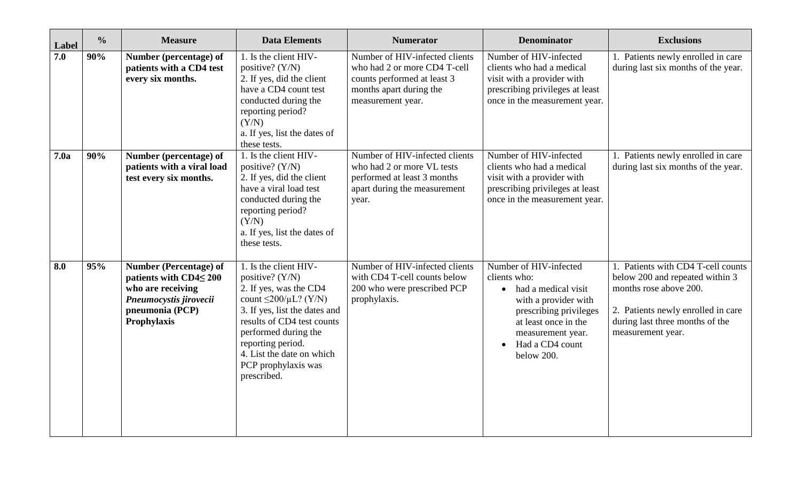| Label | $\frac{0}{0}$ | <b>Measure</b>                                                                                                                                 | <b>Data Elements</b>                                                                                                                                                                                                                                                                  | <b>Numerator</b>                                                                                                                              | <b>Denominator</b>                                                                                                                                                                                           | <b>Exclusions</b>                                                                                                                                                                             |
|-------|---------------|------------------------------------------------------------------------------------------------------------------------------------------------|---------------------------------------------------------------------------------------------------------------------------------------------------------------------------------------------------------------------------------------------------------------------------------------|-----------------------------------------------------------------------------------------------------------------------------------------------|--------------------------------------------------------------------------------------------------------------------------------------------------------------------------------------------------------------|-----------------------------------------------------------------------------------------------------------------------------------------------------------------------------------------------|
| 7.0   | 90%           | Number (percentage) of<br>patients with a CD4 test<br>every six months.                                                                        | 1. Is the client HIV-<br>positive? $(Y/N)$<br>2. If yes, did the client<br>have a CD4 count test<br>conducted during the<br>reporting period?<br>(Y/N)<br>a. If yes, list the dates of<br>these tests.                                                                                | Number of HIV-infected clients<br>who had 2 or more CD4 T-cell<br>counts performed at least 3<br>months apart during the<br>measurement year. | Number of HIV-infected<br>clients who had a medical<br>visit with a provider with<br>prescribing privileges at least<br>once in the measurement year.                                                        | 1. Patients newly enrolled in care<br>during last six months of the year.                                                                                                                     |
| 7.0a  | 90%           | Number (percentage) of<br>patients with a viral load<br>test every six months.                                                                 | 1. Is the client HIV-<br>positive? $(Y/N)$<br>2. If yes, did the client<br>have a viral load test<br>conducted during the<br>reporting period?<br>(Y/N)<br>a. If yes, list the dates of<br>these tests.                                                                               | Number of HIV-infected clients<br>who had 2 or more VL tests<br>performed at least 3 months<br>apart during the measurement<br>year.          | Number of HIV-infected<br>clients who had a medical<br>visit with a provider with<br>prescribing privileges at least<br>once in the measurement year.                                                        | 1. Patients newly enrolled in care<br>during last six months of the year.                                                                                                                     |
| 8.0   | 95%           | <b>Number (Percentage) of</b><br>patients with $CD4 \leq 200$<br>who are receiving<br>Pneumocystis jirovecii<br>pneumonia (PCP)<br>Prophylaxis | 1. Is the client HIV-<br>positive? (Y/N)<br>2. If yes, was the CD4<br>count $\leq$ 200/ $\mu$ L? (Y/N)<br>3. If yes, list the dates and<br>results of CD4 test counts<br>performed during the<br>reporting period.<br>4. List the date on which<br>PCP prophylaxis was<br>prescribed. | Number of HIV-infected clients<br>with CD4 T-cell counts below<br>200 who were prescribed PCP<br>prophylaxis.                                 | Number of HIV-infected<br>clients who:<br>• had a medical visit<br>with a provider with<br>prescribing privileges<br>at least once in the<br>measurement year.<br>Had a CD4 count<br>$\bullet$<br>below 200. | 1. Patients with CD4 T-cell counts<br>below 200 and repeated within 3<br>months rose above 200.<br>2. Patients newly enrolled in care<br>during last three months of the<br>measurement year. |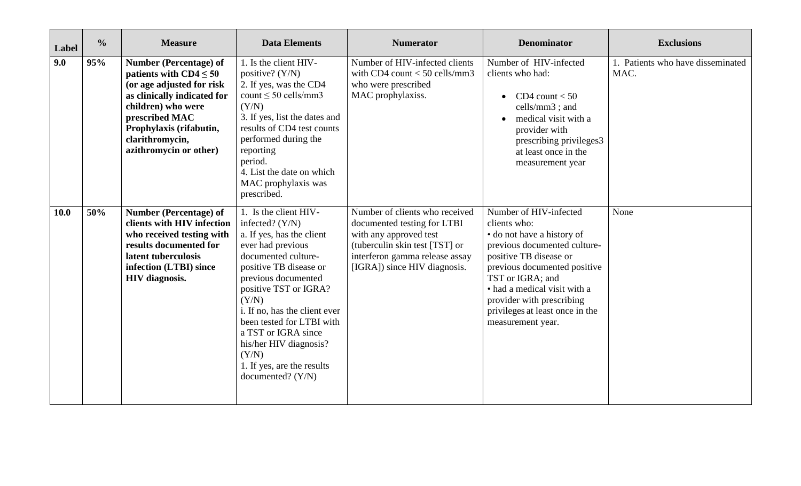| Label       | $\frac{0}{0}$ | <b>Measure</b>                                                                                                                                                                                                                    | <b>Data Elements</b>                                                                                                                                                                                                                                                                                                                                                                | <b>Numerator</b>                                                                                                                                                                            | <b>Denominator</b>                                                                                                                                                                                                                                                                                      | <b>Exclusions</b>                         |
|-------------|---------------|-----------------------------------------------------------------------------------------------------------------------------------------------------------------------------------------------------------------------------------|-------------------------------------------------------------------------------------------------------------------------------------------------------------------------------------------------------------------------------------------------------------------------------------------------------------------------------------------------------------------------------------|---------------------------------------------------------------------------------------------------------------------------------------------------------------------------------------------|---------------------------------------------------------------------------------------------------------------------------------------------------------------------------------------------------------------------------------------------------------------------------------------------------------|-------------------------------------------|
| 9.0         | 95%           | Number (Percentage) of<br>patients with $CD4 \leq 50$<br>(or age adjusted for risk<br>as clinically indicated for<br>children) who were<br>prescribed MAC<br>Prophylaxis (rifabutin,<br>clarithromycin,<br>azithromycin or other) | 1. Is the client HIV-<br>positive? $(Y/N)$<br>2. If yes, was the CD4<br>count $\leq 50$ cells/mm3<br>(Y/N)<br>3. If yes, list the dates and<br>results of CD4 test counts<br>performed during the<br>reporting<br>period.<br>4. List the date on which<br>MAC prophylaxis was<br>prescribed.                                                                                        | Number of HIV-infected clients<br>with CD4 count $<$ 50 cells/mm3<br>who were prescribed<br>MAC prophylaxiss.                                                                               | Number of HIV-infected<br>clients who had:<br>CD4 count $< 50$<br>cells/mm3; and<br>medical visit with a<br>provider with<br>prescribing privileges3<br>at least once in the<br>measurement year                                                                                                        | 1. Patients who have disseminated<br>MAC. |
| <b>10.0</b> | 50%           | <b>Number (Percentage) of</b><br>clients with HIV infection<br>who received testing with<br>results documented for<br>latent tuberculosis<br>infection (LTBI) since<br><b>HIV</b> diagnosis.                                      | 1. Is the client HIV-<br>infected? $(Y/N)$<br>a. If yes, has the client<br>ever had previous<br>documented culture-<br>positive TB disease or<br>previous documented<br>positive TST or IGRA?<br>(Y/N)<br>i. If no, has the client ever<br>been tested for LTBI with<br>a TST or IGRA since<br>his/her HIV diagnosis?<br>(Y/N)<br>1. If yes, are the results<br>documented? $(Y/N)$ | Number of clients who received<br>documented testing for LTBI<br>with any approved test<br>(tuberculin skin test [TST] or<br>interferon gamma release assay<br>[IGRA]) since HIV diagnosis. | Number of HIV-infected<br>clients who:<br>• do not have a history of<br>previous documented culture-<br>positive TB disease or<br>previous documented positive<br>TST or IGRA; and<br>• had a medical visit with a<br>provider with prescribing<br>privileges at least once in the<br>measurement year. | None                                      |